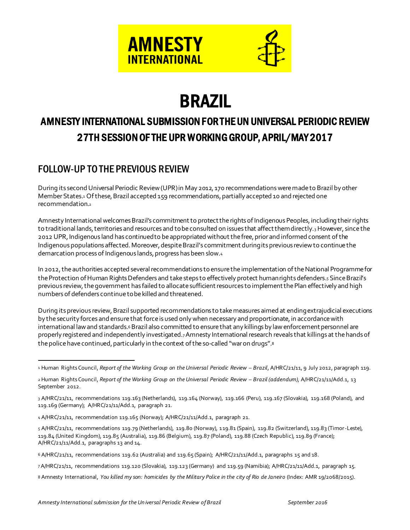

# BRAZIL

# AMNESTY INTERNATIONAL SUBMISSION FOR THE UN UNIVERSAL PERIODIC REVIEW 27TH SESSION OF THE UPR WORKING GROUP, APRIL/MAY 2017

# FOLLOW-UP TO THE PREVIOUS REVIEW

j

During its second Universal Periodic Review (UPR) in May 2012, 170 recommendations were made to Brazil by other Member States.<sup>1</sup> Of these, Brazil accepted 159 recommendations, partially accepted 10 and rejected one recommendation.<sup>2</sup>

Amnesty International welcomes Brazil's commitment to protect the rights of Indigenous Peoples, including their rights to traditional lands, territories and resources and to be consulted on issues that affect them directly.3 However, since the 2012 UPR, Indigenous land has continued to be appropriated without the free, prior and informed consent of the Indigenous populations affected. Moreover, despite Brazil's commitment during its previous review to continue the demarcation process of Indigenous lands, progress has been slow.<sup>4</sup>

In 2012, the authorities accepted several recommendations to ensure the implementation of the National Programme for the Protection of Human Rights Defenders and take steps to effectively protect human rights defenders.<sub>5</sub> Since Brazil's previous review, the government has failed to allocate sufficient resources to implement the Plan effectively and high numbers of defenders continue to be killed and threatened.

During its previous review, Brazil supported recommendations to take measures aimed at ending extrajudicial executions by the security forces and ensure that force is used only when necessary and proportionate, in accordance with international law and standards.<sup>6</sup> Brazil also committed to ensure that any killings by law enforcement personnel are properly registered and independently investigated.7Amnesty International research reveals that killings at the hands of the police have continued, particularly in the context of the so-called "war on drugs".<sup>8</sup>

8 Amnesty International, *You killed my son: homicides by the Military Police in the city of Rio de Janeiro* (Index: AMR 19/2068/2015).

<sup>1</sup> Human Rights Council, *Report of the Working Group on the Universal Periodic Review - Brazil*, A/HRC/21/11, 9 July 2012, paragraph 119.

<sup>2</sup> Human Rights Council, *Report of the Working Group on the Universal Periodic Review – Brazil (addendum),* A/HRC/21/11/Add.1, 13 September 2012.

<sup>3</sup> A/HRC/21/11, recommendations 119.163 (Netherlands), 119.164 (Norway), 119.166 (Peru), 119.167 (Slovakia), 119.168 (Poland), and 119.169 (Germany); A/HRC/21/11/Add.1, paragraph 21.

<sup>4</sup> A/HRC/21/11, recommendation 119.165 (Norway); A/HRC/21/11/Add.1, paragraph 21.

<sup>5</sup> A/HRC/21/11, recommendations 119.79 (Netherlands), 119.80 (Norway), 119.81 (Spain), 119.82 (Switzerland), 119.83 (Timor-Leste), 119.84 (United Kingdom), 119.85 (Australia), 119.86 (Belgium), 119.87 (Poland), 119.88 (Czech Republic), 119.89 (France); A/HRC/21/11/Add.1, paragraphs 13 and 14.

<sup>6</sup> A/HRC/21/11, recommendations 119.62 (Australia) and 119.65 (Spain); A/HRC/21/11/Add.1, paragraphs 15 and 18.

<sup>7</sup>A/HRC/21/11, recommendations 119.120 (Slovakia), 119.123 (Germany) and 119.59 (Namibia); A/HRC/21/11/Add.1, paragraph 15.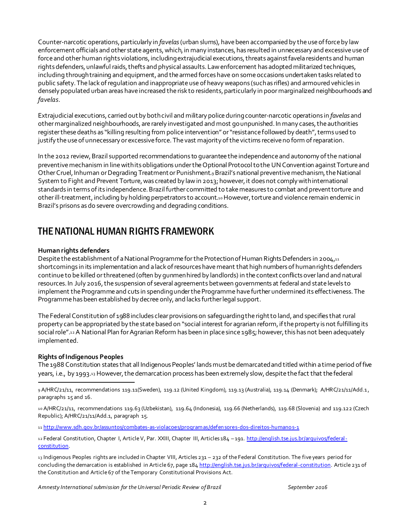Counter-narcotic operations, particularly in *favelas*(urban slums)*,*have been accompanied by the use of force by law enforcement officials and other state agents, which, in many instances, has resulted in unnecessary and excessive use of force and other human rights violations, including extrajudicial executions, threats against favela residents and human rights defenders, unlawful raids, thefts and physical assaults. Law enforcement has adopted militarized techniques, including through training and equipment, and the armed forces have on some occasions undertaken tasks related to public safety.The lack of regulation and inappropriate use of heavy weapons (such as rifles) and armoured vehicles in densely populated urban areas haveincreased the risk to residents, particularly in poor marginalized neighbourhoods and *favelas*.

Extrajudicial executions, carried out by both civil and military police during counter-narcotic operations in *favelas* and other marginalized neighbourhoods, are rarely investigated and most go unpunished. In many cases, the authorities register these deaths as "killing resulting from police intervention" or "resistance followed by death", terms used to justify the use of unnecessary or excessive force. The vast majority of the victims receive no form of reparation.

In the 2012 review, Brazil supported recommendations to guarantee the independence and autonomy of the national preventive mechanism in line with its obligations under the Optional Protocol to the UNConvention against Torture and Other Cruel, Inhuman orDegrading Treatment or Punishment.9Brazil's national preventive mechanism, the National System to Fight and Prevent Torture, was created by law in 2013; however, it does not comply with international standards in terms of its independence. Brazil further committed to take measures to combat and prevent torture and other ill-treatment, including by holding perpetrators to account.10However, torture and violence remain endemic in Brazil's prisons as do severe overcrowding and degrading conditions.

# THE NATIONAL HUMAN RIGHTS FRAMEWORK

#### **Human rights defenders**

Despite the establishment of a National Programme forthe Protection of Human Rights Defenders in 2004,<sup>11</sup> shortcomings in its implementation and a lack of resources have meant that high numbers of human rights defenders continue to be killed or threatened (often by gunmen hired by landlords) in the context conflicts over land and natural resources.In July 2016,the suspension of several agreements between governments at federal and state levels to implement the Programme and cuts in spending under the Programme have further undermined its effectiveness. The Programme has been established by decree only, and lacks further legal support.

The Federal Constitution of 1988 includes clear provisions on safeguarding the right to land, and specifies that rural property can be appropriated by the state based on "social interest for agrarian reform, if the property is not fulfilling its social role".12A National Plan for Agrarian Reform has been in place since 1985; however, this has not been adequately implemented.

#### **Rights of Indigenous Peoples**

l

The 1988 Constitution states that all Indigenous Peoples' lands must be demarcated and titled within a time period of five years, i.e., by 1993.<sup>13</sup> However, the demarcation process has been extremely slow,despitethe fact that the federal

9 A/HRC/21/11, recommendations 119.11(Sweden), 119.12 (United Kingdom), 119.13 (Australia), 119.14 (Denmark); A/HRC/21/11/Add.1 , paragraphs 15 and 16.

10 A/HRC/21/11, recommendations 119.63 (Uzbekistan), 119.64 (Indonesia), 119.66 (Netherlands), 119.68 (Slovenia) and 119.122 (Czech Republic); A/HRC/21/11/Add.1, paragraph 15.

11 http://www.sdh.gov.br/assuntos/combates-as-violacoes/programas/defen sores-dos-direitos-humano s-1

12 Federal Constitution, Chapter I, Article V, Par. XXIII, Chapter III, Articles 184 -191. http://english.tse.jus.br/arquivos/federalconstitution.

13 Indigenous Peoples rights are included in Chapter VIII, Articles 231 – 232 of the Federal Constitution. The five years period for concluding the demarcation is established in Article 67, page 184 http://english.tse.jus.br/arquivos/federal-constitution. Article 231 of the Constitution and Article 67 of the Temporary Constitutional Provisions Act.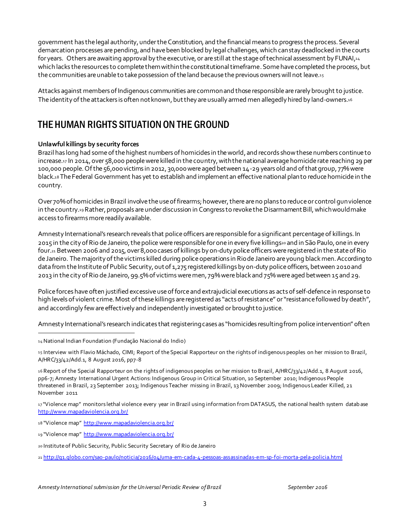government has the legal authority, underthe Constitution, and the financial means to progress the process. Several demarcation processes are pending, and have been blocked by legal challenges, which can stay deadlocked in the courts for years. Others are awaiting approval by the executive, or are still at the stage of technical assessment by FUNAI,<sup>14</sup> which lacks the resources to complete them within the constitutional timeframe. Some have completed the process, but the communities are unable to take possession of the land because the previous owners will not leave.<sup>15</sup>

Attacks against members of Indigenous communities arecommonand those responsible are rarely brought to justice. The identity of the attackers is often not known, but they are usually armed men allegedly hired by land-owners.16

## THE HUMAN RIGHTS SITUATION ON THE GROUND

#### **Unlawful killings by security forces**

Brazil has long had some of the highest numbers of homicides in the world, and records show these numbers continue to increase.<sup>17</sup> In 2014, over 58,000 people were killed in the country, with the national average homicide rate reaching 29 per 100,000 people. Of the 56,000 victims in 2012, 30,000 were aged between 14-29 years old and ofthat group, 77% were black.<sup>18</sup> The Federal Government has yet to establish and implement an effective national plan to reduce homicide in the country.

Over 70% of homicides in Brazil involve the use offirearms; however, there are no plans to reduce or control gun violence in the country.<sup>19</sup> Rather, proposals are under discussion in Congress to revoke the Disarmament Bill, which would make access to firearms more readily available.

Amnesty International's research reveals that police officers are responsible for a significant percentage of killings.In 2015 in the city of Rio de Janeiro, the police were responsible for one in every five killings<sup>20</sup> and in São Paulo, one in every four.<sub>21</sub> Between 2006 and 2015, over 8,000 cases of killings by on-duty police officers were registered in the state of Rio de Janeiro. The majority of the victims killed during police operations in Rio de Janeiro are young black men. According to data from the Institute of Public Security, out of 1,275 registered killings by on-duty police officers, between 2010 and 2013 in the city of Rio de Janeiro, 99.5% of victims were men, 79% were black and 75% were aged between 15 and 29.

Police forces have often justified excessive use of force and extrajudicial executions as acts of self-defencein response to high levels of violent crime. Most of these killings are registered as "acts of resistance" or "resistance followed by death", and accordingly few are effectively and independently investigated or brought to justice.

Amnesty International's research indicates that registering cases as "homicides resulting from police intervention" often

j

15 Interview with Flavio Máchado, CIMI; Report of the Special Rapporteur on the rights of indigenous peoples on her mission to Brazil, A/HRC/33/42/Add.1, 8 August 2016, pp7-8

16 Report of the Special Rapporteur on the rights of indigenous peoples on her mission to Brazil, A/HRC/33/42/Add.1, 8 August 2016, pp6-7; Amnesty International Urgent Actions: Indigenous Group in Critical Situation, 10 September 2010; Indigenous People threatened in Brazil, 23 September 2013; Indigenous Teacher missing in Brazil, 13 November 2009; Indigenous Leader Killed, 21 November 2011

17 "Violence map" monitors lethal violence every year in Brazil using information from DATASUS, the national health system datab ase http://www.mapadaviolencia.org.br/

18 "Violence map" http://www.mapadaviolencia.org.br/

19 "Violence map" http://www.mapadaviolencia.org.br/

20 Institute of Public Security, Public Security Secretary of Rio de Janeiro

21 http://g1.globo.com/sao-paulo/noticia/2016/04/uma-em-cada-4-pessoas-assassinadas-em-sp-foi-morta-pela-policia.html

<sup>14</sup>National Indian Foundation (Fundação Nacional do Indio)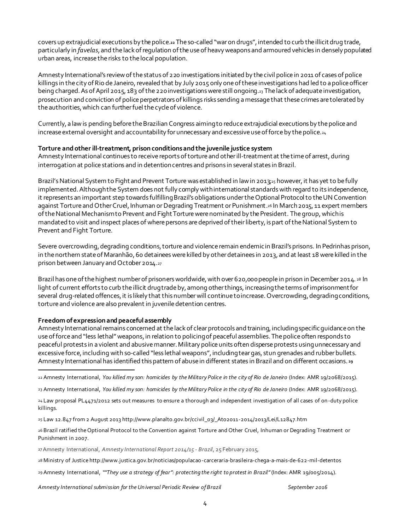covers up extrajudicial executions by the police.**<sup>22</sup>** The so-called "war on drugs", intended to curb the illicit drug trade, particularly in *favelas*, and the lack of regulation ofthe use of heavy weapons and armoured vehicles in densely populated urban areas, increase the risks to the local population.

Amnesty International's review ofthe status of 220 investigations initiated by the civil police in 2011 of cases of police killings in the city of Rio de Janeiro, revealed that by July 2015 only one of these investigations had led to a police officer being charged. As of April 2015, 183 of the 220 investigations were still ongoing.<sup>23</sup> The lack of adequate investigation, prosecution and conviction of police perpetrators of killings risks sending a message that these crimes are tolerated by the authorities, which can further fuel thecycle of violence.

Currently, a law is pending before the Brazilian Congress aimingto reduceextrajudicial executions by the police and increase external oversight and accountability for unnecessary and excessive use of force by the police.<sup>24</sup>

#### **Torture andother ill-treatment, prison conditions and the juvenile justice system**

Amnesty International continues to receive reports of torture and other ill-treatment at the time of arrest, during interrogation at police stations and in detentioncentres and prisons in several states in Brazil.

Brazil's National System to Fight and Prevent Torture was established in law in 2013;25 however, it has yet to be fully implemented. Although the System does not fully comply with international standards with regard to its independence, it represents an important step towards fulfilling Brazil's obligations under the Optional Protocol to the UN Convention against Torture and Other Cruel, Inhuman or Degrading Treatment or Punishment.<sup>26</sup> In March 2015, 11 expert members of the National Mechanism to Prevent and Fight Torture were nominated by the President. The group, which is mandated to visit and inspect places of where persons are deprived of their liberty,is part of the National System to Prevent and Fight Torture.

Severe overcrowding, degrading conditions, torture and violence remain endemic in Brazil's prisons. In Pedrinhas prison, in the northern state of Maranhão,60 detainees were killed by other detainees in 2013, and at least 18 were killed in the prison between January and October 2014.<sup>27</sup>

Brazil has one of the highest number of prisoners worldwide, with over 620,000 people in prison in December 2014. 28 In light of current efforts to curb the illicit drug trade by, among other things, increasing the terms of imprisonment for several drug-related offences, it is likely that this number will continue to increase. Overcrowding, degrading conditions, torture and violence are also prevalent in juveniledetention centres.

#### **Freedom of expression and peaceful assembly**

l

Amnesty International remains concerned at the lack of clear protocols and training, including specific guidance on the use of force and "less lethal" weapons, in relation to policing of peaceful assemblies. The police often responds to peaceful protests in a violent and abusive manner. Military police units often disperse protests using unnecessary and excessive force, including with so-called "less lethal weapons", including tear gas, stun grenades and rubber bullets. Amnesty International has identified this pattern of abuse in different states in Brazil and on different occasions. **<sup>29</sup>**

23 Amnesty International, *You killed my son: homicides by the Military Police in the city of Rio de Janeiro* (Index: AMR 19/2068/2015).

26 Brazil ratified the Optional Protocol to the Convention against Torture and Other Cruel, Inhuman or Degrading Treatment or Punishment in 2007.

27Amnesty International, *Amnesty International Report 2014/15 - Brazil*, 25 February 2015,

28 Ministry of Justice http://www.justica.gov.br/noticias/populacao-carceraria-brasileira-chega-a-mais-de-622-mil-detentos

29 Amnesty International, *""They use a strategy of fear": protecting the right to protest in Brazil"*(Index: AMR 19/005/2014).

*Amnesty International submission for the Un iversal Periodic Review of Brazil September 2016*

<sup>22</sup> Amnesty International, *You killed my son: homicides by the Military Police in the city of Rio de Janeiro* (Index: AMR 19/2068/2015).

<sup>24</sup> Law proposal PL4471/2012 sets out measures to ensure a thorough and independent investigation of all cases of on-duty police killings.

<sup>25</sup> Law 12.847 from 2 August 2013 http://www.planalto.gov.br/ccivil\_03/\_Ato2011-2014/2013/Lei/L12847.htm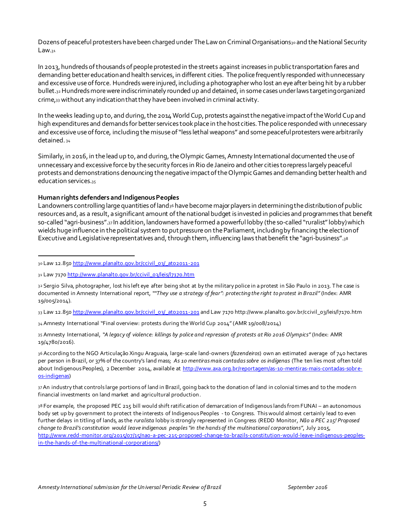Dozens of peaceful protesters have been charged under The Law on Criminal Organisations<sub>30</sub> and the National Security Law.31

In 2013, hundreds of thousands of people protested in the streets against increases in public transportation fares and demanding better education and health services, in different cities. The police frequently responded with unnecessary and excessive use of force. Hundreds were injured, including a photographer who lost an eye after being hit by a rubber bullet.32Hundreds more were indiscriminately rounded up and detained, in some cases under laws targeting organized crime,<sup>33</sup> without any indication that they havebeen involved in criminal activity.

In the weeks leading up to, and during, the 2014 World Cup, protests against the negative impact of the World Cupand high expenditures and demands for better services took place in the host cities. The police responded with unnecessary and excessive use of force, including the misuse of "less lethal weapons" and some peaceful protesters were arbitrarily detained. <sup>34</sup>

Similarly, in 2016, in the lead up to, and during, the Olympic Games, Amnesty International documented the use of unnecessary and excessive force by the security forces in Rio de Janeiro and other cities to repress largely peaceful protests and demonstrations denouncing the negative impact of the Olympic Games and demanding better health and education services.<sup>35</sup>

#### **Human rights defenders and Indigenous Peoples**

Landowners controlling large quantities of land<sup>36</sup> have become major players in determining the distribution of public resources and, as a result, a significant amount of the national budget is invested in policies and programmes that benefit so-called "agri-business".<sup>37</sup> In addition, landowners have formed a powerful lobby (the so-called "ruralist"lobby)which wields huge influence in the political system to put pressure on the Parliament, including by financing the election of Executive and Legislative representatives and, through them, influencing laws that benefit the "agri-business".<sup>38</sup>

l

33 Law 12.850 http://www.planalto.gov.br/ccivil\_03/\_ato2011-201 and Law 7170 http://www.planalto.gov.br/ccivil\_03/leis/l7170.htm

34 Amnesty International "Final overview: protests during the World Cup 2014" (AMR 19/008/2014)

35 Amnesty International, *"A legacy of violence: killings by police and repression of protests at Rio 2016 Olympics"* (Index: AMR 19/4780/2016).

36 According to the NGO Articulação Xingu Araguaia, large-scale land-owners (*fazendeiros*) own an estimated average of 740 hectares per person in Brazil, or 37% of the country's land mass; *As 10 mentiras mais contadas sobre os indígenas* (The ten lies most often told about Indigenous Peoples), 2 December 2014, available at http://www.axa.org.br/reportagem/as-10-mentiras-mais-contadas-sobreos-indigenas)

37An industry that controls large portions of land in Brazil, going back to the donation of land in colonial times and to the modern financial investments on land market and agricultural production.

38 For example, the proposed PEC 215 bill would shift ratification of demarcation of Indigenous lands from FUNAI – an autonomous body set up by government to protect the interests of Indigenous Peoples - to Congress. This would almost certainly lead to even further delays in titling of lands, as the *ruralista* lobby is strongly represented in Congress (REDD Monitor, *Não a PEC 215! Proposed change to Brazil's constitution would leave indigenous peoples "in the hands of the multinational corporations"*, July 2015, http://www.redd-monitor.org/2015/07/15/nao-a-pec-215-proposed-change-to-brazils-constitution-would-leave-indigenous-peoplesin-the-hands-of-the-multinational-corporations/)

<sup>30</sup> Law 12.850 http://www.planalto.gov.br/ccivil\_03/\_ato2011-201

<sup>31</sup> Law 7170 http://www.planalto.gov.br/ccivil\_03/leis/l7170.htm

<sup>32</sup> Sergio Silva, photographer, lost his left eye after being shot at by the military police in a protest in São Paulo in 2013. The case is documented in Amnesty International report, *""They use a strategy of fear": protecting the right to protest in Brazil"* (Index: AMR 19/005/2014).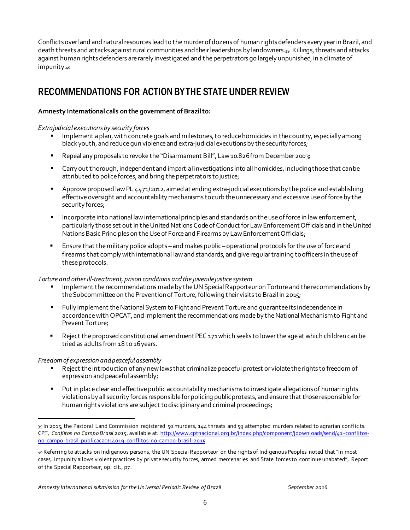Conflicts over land and natural resources lead to the murder of dozens of human rights defenders every year in Brazil, and death threats and attacks against rural communities and their leaderships by landowners.<sup>39</sup> Killings, threats and attacks against human rights defenders are rarely investigated and the perpetrators go largely unpunished, in a climate of impunity.<sup>40</sup>

## RECOMMENDATIONS FOR ACTION BY THE STATE UNDER REVIEW

#### **Amnesty International calls on the government of Brazilto:**

#### *Extrajudicial executions by security forces*

- Implement a plan, with concrete goals and milestones, to reduce homicides in the country, especially among black youth, and reduce gun violence and extra-judicial executions by the security forces;
- Repeal any proposals to revoke the "Disarmament Bill", Law 10.826 from December 2003;
- Carry out thorough, independent and impartial investigations into all homicides, including those that can be attributed to police forces, and bring the perpetrators to justice;
- **Approve proposed law PL 4471/2012, aimed at ending extra-judicial executions by the police and establishing** effective oversight and accountability mechanisms to curb theunnecessary and excessive use of force by the security forces;
- Incorporate into national law international principles and standards on the use of force in law enforcement, particularly those set out in the United Nations Code of Conduct for Law Enforcement Officials and in the United Nations Basic Principles on the Use of Force and Firearms by Law Enforcement Officials;
- Ensure that the military police adopts and makes public –operational protocols for the use of force and firearms that comply with international lawand standards, and give regular training to officers in the use of these protocols.

#### *Torture and other ill-treatment, prison conditions and the juvenile justice system*

- Implement the recommendations made by the UN Special Rapporteur on Torture and the recommendations by the Subcommittee on the Prevention of Torture, following their visits to Brazil in 2015;
- Fully implement the National System to Fight and Prevent Torture and guarantee its independencein accordance with OPCAT, and implement the recommendations made by the National Mechanism to Fight and Prevent Torture;
- Reject the proposed constitutional amendment PEC 171 which seeks to lower the age at which children can be tried as adults from 18 to 16 years.

#### *Freedom of expression and peaceful assembly*

l

- **Part Act is controlled to introduction of any new laws that criminalize peaceful protest or violate the rights to freedom of** expression and peaceful assembly;
- Put in place clear and effective public accountability mechanisms to investigate allegations of human rights violations by all security forces responsible for policing public protests, and ensure that those responsible for human rights violations are subject to disciplinary and criminal proceedings;

<sup>39</sup> In 2015, the Pastoral Land Commission registered 50 murders, 144 threats and 59 attempted murders related to agrarian conflicts. CPT, *Conflitos no Campo Brasil 2015*, available at: http://www.cptnacional.org.br/index.php/component/jdownloads/send/41-conflitosno-campo-brasil-publicacao/14019-conflitos-no-campo-brasil-2015

<sup>40</sup> Referring to attacks on Indigenous persons, the UN Special Rapporteur on the rights of Indigenous Peoples noted that "In most cases, impunity allows violent practices by private security forces, armed mercenaries and State forces to continue unabated", Report of the Special Rapporteur, op. cit., p7.